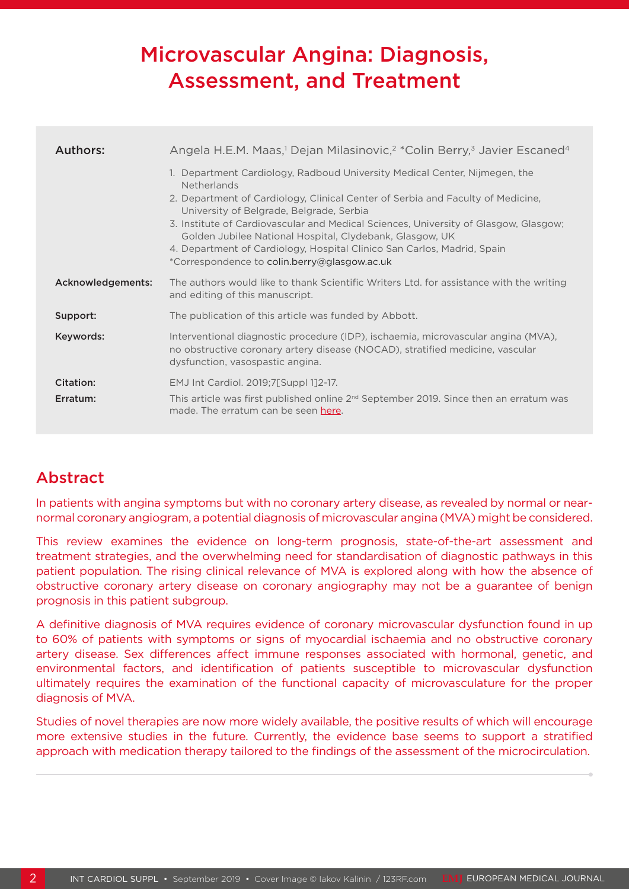# Microvascular Angina: Diagnosis, Assessment, and Treatment

| Authors:              | Angela H.E.M. Maas, <sup>1</sup> Dejan Milasinovic, <sup>2</sup> *Colin Berry, <sup>3</sup> Javier Escaned <sup>4</sup>                                                                                                                                                                                                                                                                                                                                        |
|-----------------------|----------------------------------------------------------------------------------------------------------------------------------------------------------------------------------------------------------------------------------------------------------------------------------------------------------------------------------------------------------------------------------------------------------------------------------------------------------------|
|                       | 1. Department Cardiology, Radboud University Medical Center, Nijmegen, the<br><b>Netherlands</b><br>2. Department of Cardiology, Clinical Center of Serbia and Faculty of Medicine,<br>University of Belgrade, Belgrade, Serbia<br>3. Institute of Cardiovascular and Medical Sciences, University of Glasgow, Glasgow;<br>Golden Jubilee National Hospital, Clydebank, Glasgow, UK<br>4. Department of Cardiology, Hospital Clinico San Carlos, Madrid, Spain |
|                       | *Correspondence to colin.berry@glasgow.ac.uk                                                                                                                                                                                                                                                                                                                                                                                                                   |
| Acknowledgements:     | The authors would like to thank Scientific Writers Ltd. for assistance with the writing<br>and editing of this manuscript.                                                                                                                                                                                                                                                                                                                                     |
| Support:              | The publication of this article was funded by Abbott.                                                                                                                                                                                                                                                                                                                                                                                                          |
| Keywords:             | Interventional diagnostic procedure (IDP), ischaemia, microvascular angina (MVA),<br>no obstructive coronary artery disease (NOCAD), stratified medicine, vascular<br>dysfunction, vasospastic angina.                                                                                                                                                                                                                                                         |
| Citation:<br>Erratum: | EMJ Int Cardiol. 2019;7[Suppl 1]2-17.<br>This article was first published online $2nd$ September 2019. Since then an erratum was<br>made. The erratum can be seen here.                                                                                                                                                                                                                                                                                        |

## Abstract

In patients with angina symptoms but with no coronary artery disease, as revealed by normal or nearnormal coronary angiogram, a potential diagnosis of microvascular angina (MVA) might be considered.

This review examines the evidence on long-term prognosis, state-of-the-art assessment and treatment strategies, and the overwhelming need for standardisation of diagnostic pathways in this patient population. The rising clinical relevance of MVA is explored along with how the absence of obstructive coronary artery disease on coronary angiography may not be a guarantee of benign prognosis in this patient subgroup.

A definitive diagnosis of MVA requires evidence of coronary microvascular dysfunction found in up to 60% of patients with symptoms or signs of myocardial ischaemia and no obstructive coronary artery disease. Sex differences affect immune responses associated with hormonal, genetic, and environmental factors, and identification of patients susceptible to microvascular dysfunction ultimately requires the examination of the functional capacity of microvasculature for the proper diagnosis of MVA.

Studies of novel therapies are now more widely available, the positive results of which will encourage more extensive studies in the future. Currently, the evidence base seems to support a stratified approach with medication therapy tailored to the findings of the assessment of the microcirculation.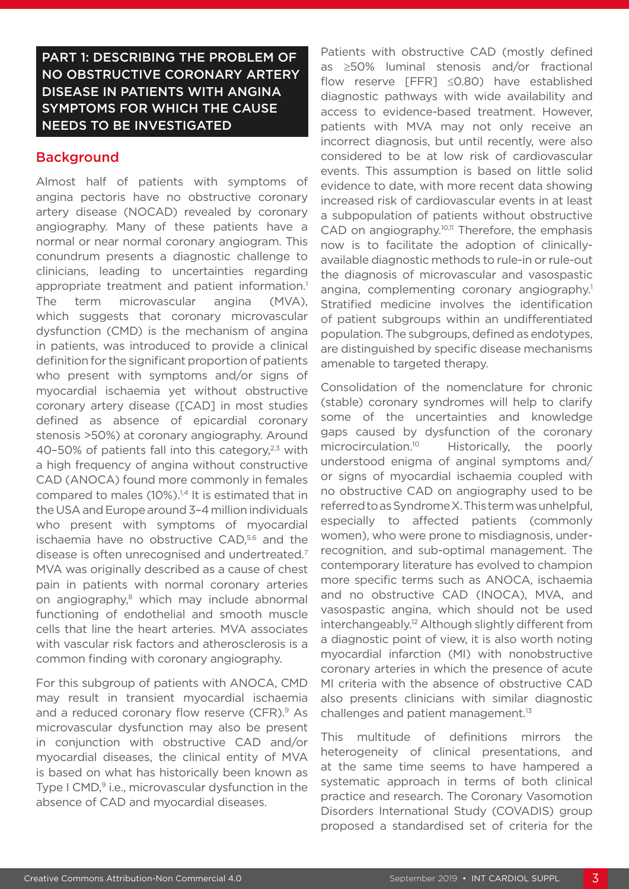PART 1: DESCRIBING THE PROBLEM OF NO OBSTRUCTIVE CORONARY ARTERY DISEASE IN PATIENTS WITH ANGINA SYMPTOMS FOR WHICH THE CAUSE NEEDS TO BE INVESTIGATED

#### Background

Almost half of patients with symptoms of angina pectoris have no obstructive coronary artery disease (NOCAD) revealed by coronary angiography. Many of these patients have a normal or near normal coronary angiogram. This conundrum presents a diagnostic challenge to clinicians, leading to uncertainties regarding appropriate treatment and patient information.<sup>1</sup> The term microvascular angina (MVA), which suggests that coronary microvascular dysfunction (CMD) is the mechanism of angina in patients, was introduced to provide a clinical definition for the significant proportion of patients who present with symptoms and/or signs of myocardial ischaemia yet without obstructive coronary artery disease ([CAD] in most studies defined as absence of epicardial coronary stenosis >50%) at coronary angiography. Around 40–50% of patients fall into this category, $2,3$  with a high frequency of angina without constructive CAD (ANOCA) found more commonly in females compared to males (10%).<sup>14</sup> It is estimated that in the USA and Europe around 3–4 million individuals who present with symptoms of myocardial ischaemia have no obstructive CAD,5,6 and the disease is often unrecognised and undertreated.7 MVA was originally described as a cause of chest pain in patients with normal coronary arteries on angiography,<sup>8</sup> which may include abnormal functioning of endothelial and smooth muscle cells that line the heart arteries. MVA associates with vascular risk factors and atherosclerosis is a common finding with coronary angiography.

For this subgroup of patients with ANOCA, CMD may result in transient myocardial ischaemia and a reduced coronary flow reserve (CFR).<sup>9</sup> As microvascular dysfunction may also be present in conjunction with obstructive CAD and/or myocardial diseases, the clinical entity of MVA is based on what has historically been known as Type I CMD,<sup>9</sup> i.e., microvascular dysfunction in the absence of CAD and myocardial diseases.

Patients with obstructive CAD (mostly defined as ≥50% luminal stenosis and/or fractional flow reserve [FFR] ≤0.80) have established diagnostic pathways with wide availability and access to evidence-based treatment. However, patients with MVA may not only receive an incorrect diagnosis, but until recently, were also considered to be at low risk of cardiovascular events. This assumption is based on little solid evidence to date, with more recent data showing increased risk of cardiovascular events in at least a subpopulation of patients without obstructive CAD on angiography.<sup>10,11</sup> Therefore, the emphasis now is to facilitate the adoption of clinicallyavailable diagnostic methods to rule-in or rule-out the diagnosis of microvascular and vasospastic angina, complementing coronary angiography.<sup>1</sup> Stratified medicine involves the identification of patient subgroups within an undifferentiated population. The subgroups, defined as endotypes, are distinguished by specific disease mechanisms amenable to targeted therapy.

Consolidation of the nomenclature for chronic (stable) coronary syndromes will help to clarify some of the uncertainties and knowledge gaps caused by dysfunction of the coronary microcirculation.10 Historically, the poorly understood enigma of anginal symptoms and/ or signs of myocardial ischaemia coupled with no obstructive CAD on angiography used to be referred to as Syndrome X. This term was unhelpful, especially to affected patients (commonly women), who were prone to misdiagnosis, underrecognition, and sub-optimal management. The contemporary literature has evolved to champion more specific terms such as ANOCA, ischaemia and no obstructive CAD (INOCA), MVA, and vasospastic angina, which should not be used interchangeably.12 Although slightly different from a diagnostic point of view, it is also worth noting myocardial infarction (MI) with nonobstructive coronary arteries in which the presence of acute MI criteria with the absence of obstructive CAD also presents clinicians with similar diagnostic challenges and patient management.13

This multitude of definitions mirrors the heterogeneity of clinical presentations, and at the same time seems to have hampered a systematic approach in terms of both clinical practice and research. The Coronary Vasomotion Disorders International Study (COVADIS) group proposed a standardised set of criteria for the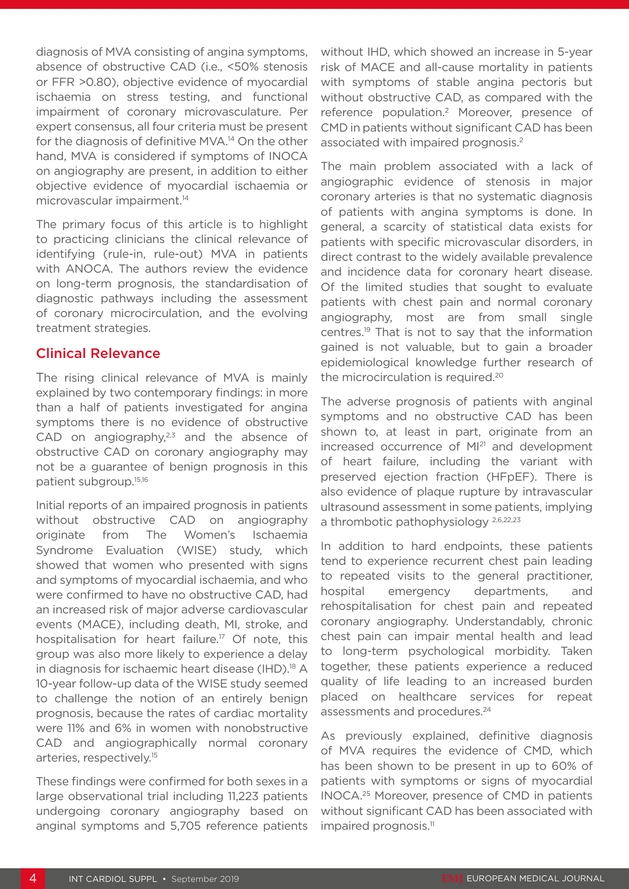diagnosis of MVA consisting of angina symptoms, absence of obstructive CAD (i.e., <50% stenosis or FFR >0.80), objective evidence of myocardial ischaemia on stress testing, and functional impairment of coronary microvasculature. Per expert consensus, all four criteria must be present for the diagnosis of definitive MVA.14 On the other hand, MVA is considered if symptoms of INOCA on angiography are present, in addition to either objective evidence of myocardial ischaemia or microvascular impairment.<sup>14</sup>

The primary focus of this article is to highlight to practicing clinicians the clinical relevance of identifying (rule-in, rule-out) MVA in patients with ANOCA. The authors review the evidence on long-term prognosis, the standardisation of diagnostic pathways including the assessment of coronary microcirculation, and the evolving treatment strategies.

#### Clinical Relevance

The rising clinical relevance of MVA is mainly explained by two contemporary findings: in more than a half of patients investigated for angina symptoms there is no evidence of obstructive CAD on angiography, $2,3$  and the absence of obstructive CAD on coronary angiography may not be a guarantee of benign prognosis in this patient subgroup.15,16

Initial reports of an impaired prognosis in patients without obstructive CAD on angiography originate from The Women's Ischaemia Syndrome Evaluation (WISE) study, which showed that women who presented with signs and symptoms of myocardial ischaemia, and who were confirmed to have no obstructive CAD, had an increased risk of major adverse cardiovascular events (MACE), including death, MI, stroke, and hospitalisation for heart failure.<sup>17</sup> Of note, this group was also more likely to experience a delay in diagnosis for ischaemic heart disease (IHD).<sup>18</sup> A 10-year follow-up data of the WISE study seemed to challenge the notion of an entirely benign prognosis, because the rates of cardiac mortality were 11% and 6% in women with nonobstructive CAD and angiographically normal coronary arteries, respectively.15

These findings were confirmed for both sexes in a large observational trial including 11,223 patients undergoing coronary angiography based on anginal symptoms and 5,705 reference patients without IHD, which showed an increase in 5-year risk of MACE and all-cause mortality in patients with symptoms of stable angina pectoris but without obstructive CAD, as compared with the reference population.2 Moreover, presence of CMD in patients without significant CAD has been associated with impaired prognosis.2

The main problem associated with a lack of angiographic evidence of stenosis in major coronary arteries is that no systematic diagnosis of patients with angina symptoms is done. In general, a scarcity of statistical data exists for patients with specific microvascular disorders, in direct contrast to the widely available prevalence and incidence data for coronary heart disease. Of the limited studies that sought to evaluate patients with chest pain and normal coronary angiography, most are from small single centres.19 That is not to say that the information gained is not valuable, but to gain a broader epidemiological knowledge further research of the microcirculation is required.<sup>20</sup>

The adverse prognosis of patients with anginal symptoms and no obstructive CAD has been shown to, at least in part, originate from an increased occurrence of MI<sup>21</sup> and development of heart failure, including the variant with preserved ejection fraction (HFpEF). There is also evidence of plaque rupture by intravascular ultrasound assessment in some patients, implying a thrombotic pathophysiology 2,6,22,23

In addition to hard endpoints, these patients tend to experience recurrent chest pain leading to repeated visits to the general practitioner, hospital emergency departments, and rehospitalisation for chest pain and repeated coronary angiography. Understandably, chronic chest pain can impair mental health and lead to long-term psychological morbidity. Taken together, these patients experience a reduced quality of life leading to an increased burden placed on healthcare services for repeat assessments and procedures.24

As previously explained, definitive diagnosis of MVA requires the evidence of CMD, which has been shown to be present in up to 60% of patients with symptoms or signs of myocardial INOCA.25 Moreover, presence of CMD in patients without significant CAD has been associated with impaired prognosis.<sup>11</sup>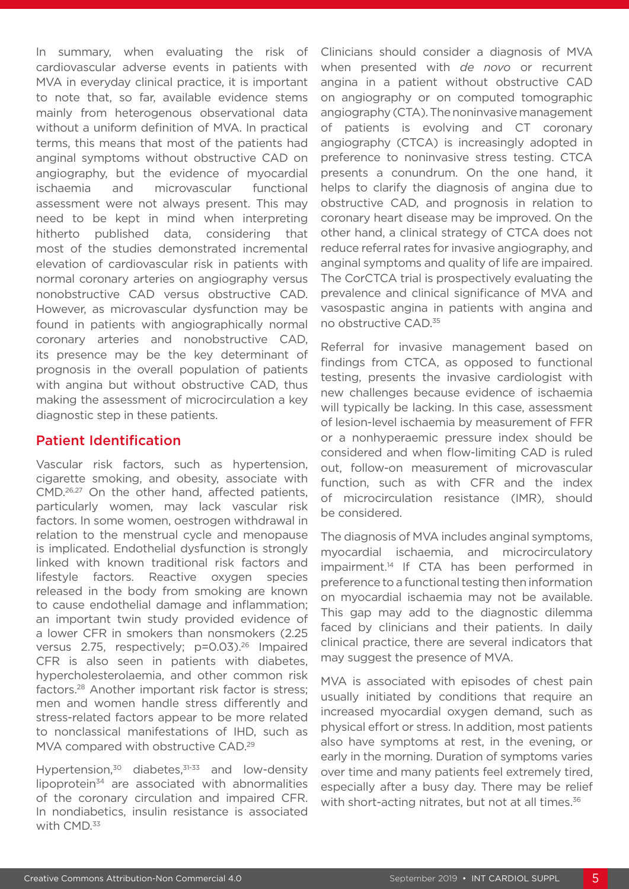In summary, when evaluating the risk of cardiovascular adverse events in patients with MVA in everyday clinical practice, it is important to note that, so far, available evidence stems mainly from heterogenous observational data without a uniform definition of MVA. In practical terms, this means that most of the patients had anginal symptoms without obstructive CAD on angiography, but the evidence of myocardial ischaemia and microvascular functional assessment were not always present. This may need to be kept in mind when interpreting hitherto published data, considering that most of the studies demonstrated incremental elevation of cardiovascular risk in patients with normal coronary arteries on angiography versus nonobstructive CAD versus obstructive CAD. However, as microvascular dysfunction may be found in patients with angiographically normal coronary arteries and nonobstructive CAD, its presence may be the key determinant of prognosis in the overall population of patients with angina but without obstructive CAD, thus making the assessment of microcirculation a key diagnostic step in these patients.

#### Patient Identification

Vascular risk factors, such as hypertension, cigarette smoking, and obesity, associate with CMD.26,27 On the other hand, affected patients, particularly women, may lack vascular risk factors. In some women, oestrogen withdrawal in relation to the menstrual cycle and menopause is implicated. Endothelial dysfunction is strongly linked with known traditional risk factors and lifestyle factors. Reactive oxygen species released in the body from smoking are known to cause endothelial damage and inflammation; an important twin study provided evidence of a lower CFR in smokers than nonsmokers (2.25 versus 2.75, respectively; p=0.03).26 Impaired CFR is also seen in patients with diabetes, hypercholesterolaemia, and other common risk factors.28 Another important risk factor is stress; men and women handle stress differently and stress-related factors appear to be more related to nonclassical manifestations of IHD, such as MVA compared with obstructive CAD.<sup>29</sup>

Hypertension, $30$  diabetes, $31-33$  and low-density  $lipoprotein<sup>34</sup>$  are associated with abnormalities of the coronary circulation and impaired CFR. In nondiabetics, insulin resistance is associated with CMD.<sup>33</sup>

Clinicians should consider a diagnosis of MVA when presented with *de novo* or recurrent angina in a patient without obstructive CAD on angiography or on computed tomographic angiography (CTA). The noninvasive management of patients is evolving and CT coronary angiography (CTCA) is increasingly adopted in preference to noninvasive stress testing. CTCA presents a conundrum. On the one hand, it helps to clarify the diagnosis of angina due to obstructive CAD, and prognosis in relation to coronary heart disease may be improved. On the other hand, a clinical strategy of CTCA does not reduce referral rates for invasive angiography, and anginal symptoms and quality of life are impaired. The CorCTCA trial is prospectively evaluating the prevalence and clinical significance of MVA and vasospastic angina in patients with angina and no obstructive CAD.35

Referral for invasive management based on findings from CTCA, as opposed to functional testing, presents the invasive cardiologist with new challenges because evidence of ischaemia will typically be lacking. In this case, assessment of lesion-level ischaemia by measurement of FFR or a nonhyperaemic pressure index should be considered and when flow-limiting CAD is ruled out, follow-on measurement of microvascular function, such as with CFR and the index of microcirculation resistance (IMR), should be considered.

The diagnosis of MVA includes anginal symptoms, myocardial ischaemia, and microcirculatory impairment.14 If CTA has been performed in preference to a functional testing then information on myocardial ischaemia may not be available. This gap may add to the diagnostic dilemma faced by clinicians and their patients. In daily clinical practice, there are several indicators that may suggest the presence of MVA.

MVA is associated with episodes of chest pain usually initiated by conditions that require an increased myocardial oxygen demand, such as physical effort or stress. In addition, most patients also have symptoms at rest, in the evening, or early in the morning. Duration of symptoms varies over time and many patients feel extremely tired, especially after a busy day. There may be relief with short-acting nitrates, but not at all times.<sup>36</sup>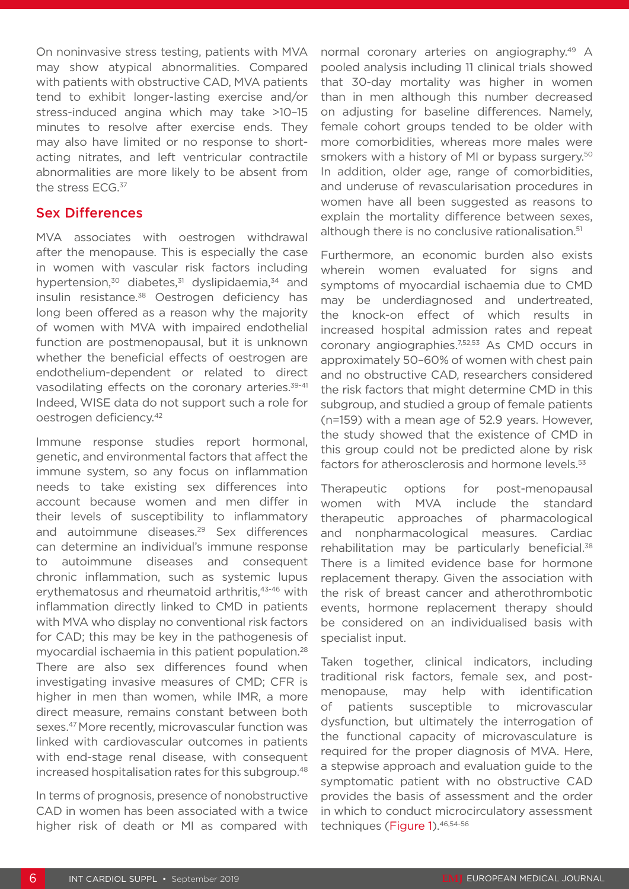On noninvasive stress testing, patients with MVA may show atypical abnormalities. Compared with patients with obstructive CAD, MVA patients tend to exhibit longer-lasting exercise and/or stress-induced angina which may take >10–15 minutes to resolve after exercise ends. They may also have limited or no response to shortacting nitrates, and left ventricular contractile abnormalities are more likely to be absent from the stress ECG.<sup>37</sup>

#### Sex Differences

MVA associates with oestrogen withdrawal after the menopause. This is especially the case in women with vascular risk factors including hypertension, $30$  diabetes, $31$  dyslipidaemia, $34$  and insulin resistance.<sup>38</sup> Oestrogen deficiency has long been offered as a reason why the majority of women with MVA with impaired endothelial function are postmenopausal, but it is unknown whether the beneficial effects of oestrogen are endothelium-dependent or related to direct vasodilating effects on the coronary arteries.<sup>39-41</sup> Indeed, WISE data do not support such a role for oestrogen deficiency.42

Immune response studies report hormonal, genetic, and environmental factors that affect the immune system, so any focus on inflammation needs to take existing sex differences into account because women and men differ in their levels of susceptibility to inflammatory and autoimmune diseases.29 Sex differences can determine an individual's immune response to autoimmune diseases and consequent chronic inflammation, such as systemic lupus erythematosus and rheumatoid arthritis, 43-46 with inflammation directly linked to CMD in patients with MVA who display no conventional risk factors for CAD; this may be key in the pathogenesis of myocardial ischaemia in this patient population.<sup>28</sup> There are also sex differences found when investigating invasive measures of CMD; CFR is higher in men than women, while IMR, a more direct measure, remains constant between both sexes.47 More recently, microvascular function was linked with cardiovascular outcomes in patients with end-stage renal disease, with consequent increased hospitalisation rates for this subgroup.<sup>48</sup>

In terms of prognosis, presence of nonobstructive CAD in women has been associated with a twice higher risk of death or MI as compared with

normal coronary arteries on angiography.<sup>49</sup> A pooled analysis including 11 clinical trials showed that 30-day mortality was higher in women than in men although this number decreased on adjusting for baseline differences. Namely, female cohort groups tended to be older with more comorbidities, whereas more males were smokers with a history of MI or bypass surgery.<sup>50</sup> In addition, older age, range of comorbidities, and underuse of revascularisation procedures in women have all been suggested as reasons to explain the mortality difference between sexes, although there is no conclusive rationalisation.<sup>51</sup>

Furthermore, an economic burden also exists wherein women evaluated for signs and symptoms of myocardial ischaemia due to CMD may be underdiagnosed and undertreated, the knock-on effect of which results in increased hospital admission rates and repeat coronary angiographies.7,52,53 As CMD occurs in approximately 50–60% of women with chest pain and no obstructive CAD, researchers considered the risk factors that might determine CMD in this subgroup, and studied a group of female patients (n=159) with a mean age of 52.9 years. However, the study showed that the existence of CMD in this group could not be predicted alone by risk factors for atherosclerosis and hormone levels.<sup>53</sup>

Therapeutic options for post-menopausal women with MVA include the standard therapeutic approaches of pharmacological and nonpharmacological measures. Cardiac rehabilitation may be particularly beneficial.<sup>38</sup> There is a limited evidence base for hormone replacement therapy. Given the association with the risk of breast cancer and atherothrombotic events, hormone replacement therapy should be considered on an individualised basis with specialist input.

Taken together, clinical indicators, including traditional risk factors, female sex, and postmenopause, may help with identification of patients susceptible to microvascular dysfunction, but ultimately the interrogation of the functional capacity of microvasculature is required for the proper diagnosis of MVA. Here, a stepwise approach and evaluation guide to the symptomatic patient with no obstructive CAD provides the basis of assessment and the order in which to conduct microcirculatory assessment techniques (Figure 1). 46,54-56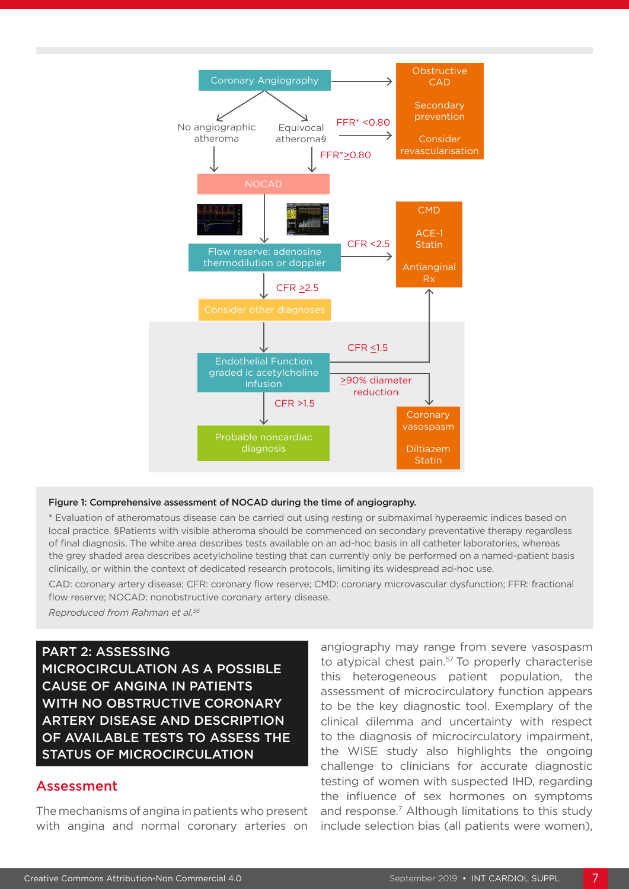

#### Figure 1: Comprehensive assessment of NOCAD during the time of angiography.

\* Evaluation of atheromatous disease can be carried out using resting or submaximal hyperaemic indices based on local practice. §Patients with visible atheroma should be commenced on secondary preventative therapy regardless of final diagnosis. The white area describes tests available on an ad-hoc basis in all catheter laboratories, whereas the grey shaded area describes acetylcholine testing that can currently only be performed on a named-patient basis clinically, or within the context of dedicated research protocols, limiting its widespread ad-hoc use.

CAD: coronary artery disease; CFR: coronary flow reserve; CMD: coronary microvascular dysfunction; FFR: fractional flow reserve; NOCAD: nonobstructive coronary artery disease.

*Reproduced from Rahman et al.56*

PART 2: ASSESSING

MICROCIRCULATION AS A POSSIBLE CAUSE OF ANGINA IN PATIENTS WITH NO OBSTRUCTIVE CORONARY ARTERY DISEASE AND DESCRIPTION OF AVAILABLE TESTS TO ASSESS THE STATUS OF MICROCIRCULATION

#### Assessment

The mechanisms of angina in patients who present with angina and normal coronary arteries on

angiography may range from severe vasospasm to atypical chest pain.<sup>57</sup> To properly characterise this heterogeneous patient population, the assessment of microcirculatory function appears to be the key diagnostic tool. Exemplary of the clinical dilemma and uncertainty with respect to the diagnosis of microcirculatory impairment, the WISE study also highlights the ongoing challenge to clinicians for accurate diagnostic testing of women with suspected IHD, regarding the influence of sex hormones on symptoms and response.<sup>7</sup> Although limitations to this study include selection bias (all patients were women),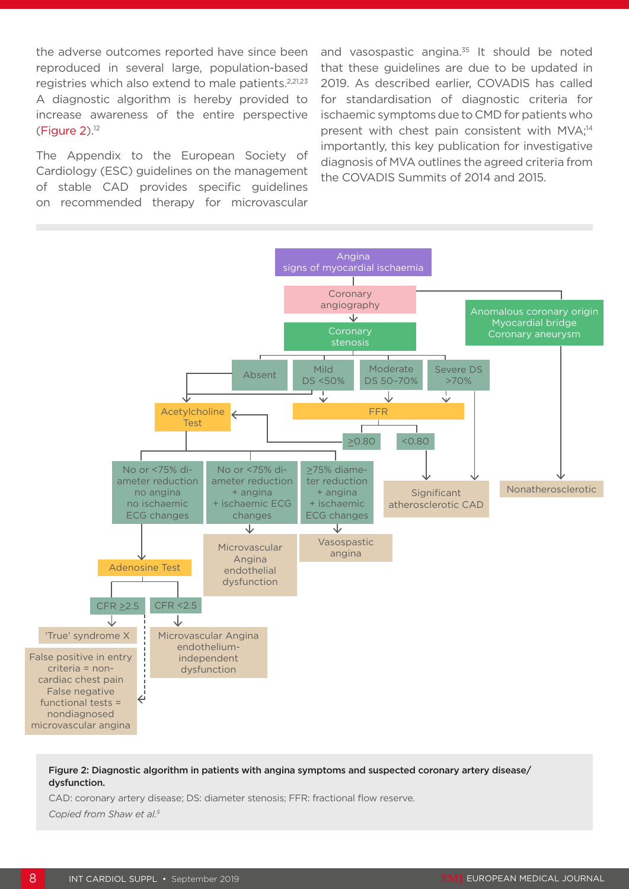the adverse outcomes reported have since been reproduced in several large, population-based registries which also extend to male patients.<sup>2,21,23</sup> A diagnostic algorithm is hereby provided to increase awareness of the entire perspective  $(Figure 2).<sup>12</sup>$ 

The Appendix to the European Society of Cardiology (ESC) guidelines on the management of stable CAD provides specific guidelines on recommended therapy for microvascular

and vasospastic angina.<sup>35</sup> It should be noted that these guidelines are due to be updated in 2019. As described earlier, COVADIS has called for standardisation of diagnostic criteria for ischaemic symptoms due to CMD for patients who present with chest pain consistent with MVA;<sup>14</sup> importantly, this key publication for investigative diagnosis of MVA outlines the agreed criteria from the COVADIS Summits of 2014 and 2015.



Figure 2: Diagnostic algorithm in patients with angina symptoms and suspected coronary artery disease/ dysfunction.

CAD: coronary artery disease; DS: diameter stenosis; FFR: fractional flow reserve. *Copied from Shaw et al.5*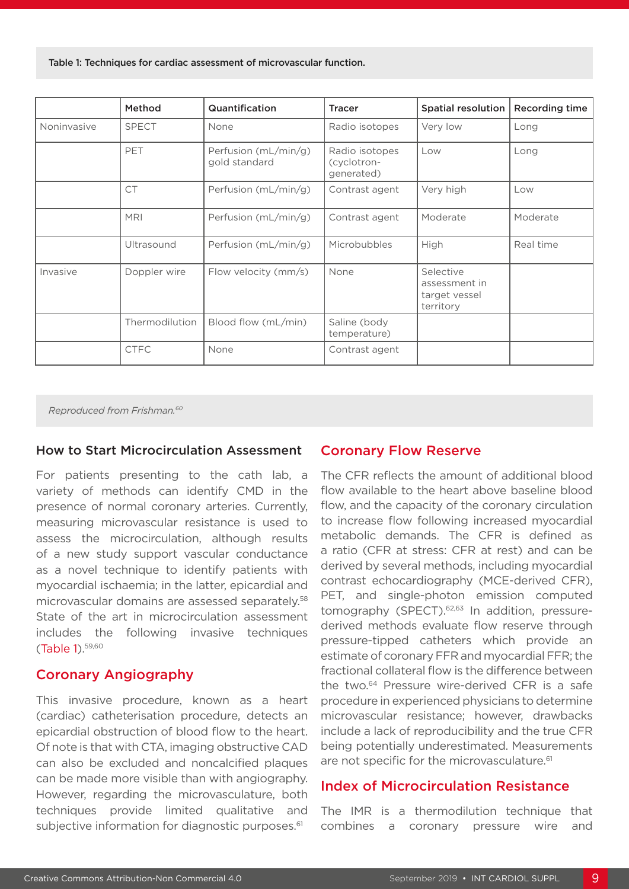Table 1: Techniques for cardiac assessment of microvascular function.

|             | Method         | Quantification                        | <b>Tracer</b>                               | <b>Spatial resolution</b>                                | <b>Recording time</b> |
|-------------|----------------|---------------------------------------|---------------------------------------------|----------------------------------------------------------|-----------------------|
| Noninvasive | <b>SPECT</b>   | None                                  | Radio isotopes                              | Very low                                                 | Long                  |
|             | PET            | Perfusion (mL/min/g)<br>gold standard | Radio isotopes<br>(cyclotron-<br>generated) | Low                                                      | Long                  |
|             | <b>CT</b>      | Perfusion (mL/min/g)                  | Contrast agent                              | Very high                                                | Low                   |
|             | <b>MRI</b>     | Perfusion (mL/min/g)                  | Contrast agent                              | Moderate                                                 | Moderate              |
|             | Ultrasound     | Perfusion (mL/min/g)                  | Microbubbles                                | High                                                     | Real time             |
| Invasive    | Doppler wire   | Flow velocity (mm/s)                  | None                                        | Selective<br>assessment in<br>target vessel<br>territory |                       |
|             | Thermodilution | Blood flow (mL/min)                   | Saline (body<br>temperature)                |                                                          |                       |
|             | <b>CTFC</b>    | None                                  | Contrast agent                              |                                                          |                       |

*Reproduced from Frishman.60*

#### How to Start Microcirculation Assessment

For patients presenting to the cath lab, a variety of methods can identify CMD in the presence of normal coronary arteries. Currently, measuring microvascular resistance is used to assess the microcirculation, although results of a new study support vascular conductance as a novel technique to identify patients with myocardial ischaemia; in the latter, epicardial and microvascular domains are assessed separately.58 State of the art in microcirculation assessment includes the following invasive techniques (Table 1).59,60

#### Coronary Angiography

This invasive procedure, known as a heart (cardiac) catheterisation procedure, detects an epicardial obstruction of blood flow to the heart. Of note is that with CTA, imaging obstructive CAD can also be excluded and noncalcified plaques can be made more visible than with angiography. However, regarding the microvasculature, both techniques provide limited qualitative and subjective information for diagnostic purposes.<sup>61</sup>

#### Coronary Flow Reserve

The CFR reflects the amount of additional blood flow available to the heart above baseline blood flow, and the capacity of the coronary circulation to increase flow following increased myocardial metabolic demands. The CFR is defined as a ratio (CFR at stress: CFR at rest) and can be derived by several methods, including myocardial contrast echocardiography (MCE-derived CFR), PET, and single-photon emission computed tomography (SPECT).<sup>62,63</sup> In addition, pressurederived methods evaluate flow reserve through pressure-tipped catheters which provide an estimate of coronary FFR and myocardial FFR; the fractional collateral flow is the difference between the two.64 Pressure wire-derived CFR is a safe procedure in experienced physicians to determine microvascular resistance; however, drawbacks include a lack of reproducibility and the true CFR being potentially underestimated. Measurements are not specific for the microvasculature.<sup>61</sup>

#### Index of Microcirculation Resistance

The IMR is a thermodilution technique that combines a coronary pressure wire and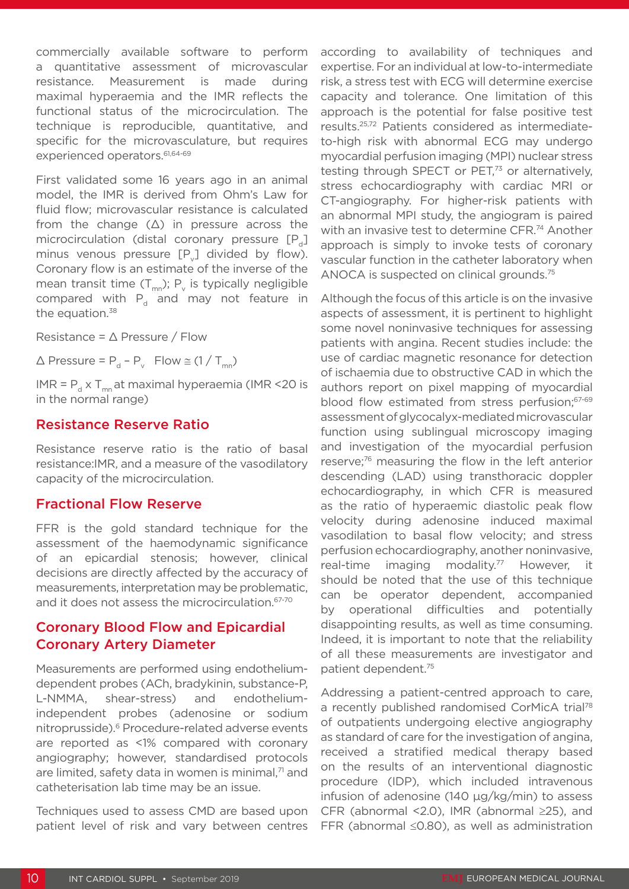commercially available software to perform a quantitative assessment of microvascular resistance. Measurement is made during maximal hyperaemia and the IMR reflects the functional status of the microcirculation. The technique is reproducible, quantitative, and specific for the microvasculature, but requires experienced operators.<sup>61,64-69</sup>

First validated some 16 years ago in an animal model, the IMR is derived from Ohm's Law for fluid flow; microvascular resistance is calculated from the change (∆) in pressure across the microcirculation (distal coronary pressure [P] minus venous pressure  $[P_{\nu}]$  divided by flow). Coronary flow is an estimate of the inverse of the mean transit time  $(T_{mn})$ ;  $P_{v}$  is typically negligible compared with  $P_d$  and may not feature in the equation.<sup>38</sup>

Resistance =  $\triangle$  Pressure / Flow

 $\triangle$  Pressure = P<sub>d</sub> – P<sub>v</sub> Flow  $\cong$  (1 / T<sub>mn</sub>)

IMR =  $P_{d}$  x T<sub>mn</sub> at maximal hyperaemia (IMR <20 is in the normal range)

#### Resistance Reserve Ratio

Resistance reserve ratio is the ratio of basal resistance:IMR, and a measure of the vasodilatory capacity of the microcirculation.

#### Fractional Flow Reserve

FFR is the gold standard technique for the assessment of the haemodynamic significance of an epicardial stenosis; however, clinical decisions are directly affected by the accuracy of measurements, interpretation may be problematic, and it does not assess the microcirculation.<sup>67-70</sup>

## Coronary Blood Flow and Epicardial Coronary Artery Diameter

Measurements are performed using endotheliumdependent probes (ACh, bradykinin, substance-P, L-NMMA, shear-stress) and endotheliumindependent probes (adenosine or sodium nitroprusside).6 Procedure-related adverse events are reported as <1% compared with coronary angiography; however, standardised protocols are limited, safety data in women is minimal, $71$  and catheterisation lab time may be an issue.

Techniques used to assess CMD are based upon patient level of risk and vary between centres

according to availability of techniques and expertise. For an individual at low-to-intermediate risk, a stress test with ECG will determine exercise capacity and tolerance. One limitation of this approach is the potential for false positive test results.25,72 Patients considered as intermediateto-high risk with abnormal ECG may undergo myocardial perfusion imaging (MPI) nuclear stress testing through SPECT or PET,<sup>73</sup> or alternatively, stress echocardiography with cardiac MRI or CT-angiography. For higher-risk patients with an abnormal MPI study, the angiogram is paired with an invasive test to determine CFR.<sup>74</sup> Another approach is simply to invoke tests of coronary vascular function in the catheter laboratory when ANOCA is suspected on clinical grounds.75

Although the focus of this article is on the invasive aspects of assessment, it is pertinent to highlight some novel noninvasive techniques for assessing patients with angina. Recent studies include: the use of cardiac magnetic resonance for detection of ischaemia due to obstructive CAD in which the authors report on pixel mapping of myocardial blood flow estimated from stress perfusion;<sup>67-69</sup> assessment of glycocalyx-mediated microvascular function using sublingual microscopy imaging and investigation of the myocardial perfusion reserve;76 measuring the flow in the left anterior descending (LAD) using transthoracic doppler echocardiography, in which CFR is measured as the ratio of hyperaemic diastolic peak flow velocity during adenosine induced maximal vasodilation to basal flow velocity; and stress perfusion echocardiography, another noninvasive, real-time imaging modality.<sup>77</sup> However, it should be noted that the use of this technique can be operator dependent, accompanied by operational difficulties and potentially disappointing results, as well as time consuming. Indeed, it is important to note that the reliability of all these measurements are investigator and patient dependent.75

Addressing a patient-centred approach to care, a recently published randomised CorMicA trial<sup>78</sup> of outpatients undergoing elective angiography as standard of care for the investigation of angina, received a stratified medical therapy based on the results of an interventional diagnostic procedure (IDP), which included intravenous infusion of adenosine (140 µg/kg/min) to assess CFR (abnormal <2.0), IMR (abnormal ≥25), and FFR (abnormal ≤0.80), as well as administration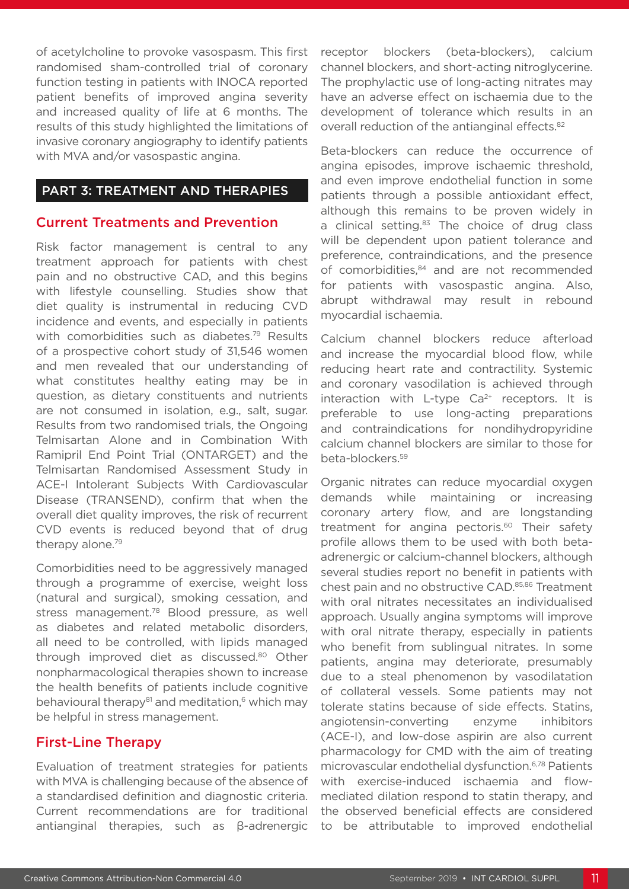of acetylcholine to provoke vasospasm. This first randomised sham-controlled trial of coronary function testing in patients with INOCA reported patient benefits of improved angina severity and increased quality of life at 6 months. The results of this study highlighted the limitations of invasive coronary angiography to identify patients with MVA and/or vasospastic angina.

#### PART 3: TREATMENT AND THERAPIES

#### Current Treatments and Prevention

Risk factor management is central to any treatment approach for patients with chest pain and no obstructive CAD, and this begins with lifestyle counselling. Studies show that diet quality is instrumental in reducing CVD incidence and events, and especially in patients with comorbidities such as diabetes.<sup>79</sup> Results of a prospective cohort study of 31,546 women and men revealed that our understanding of what constitutes healthy eating may be in question, as dietary constituents and nutrients are not consumed in isolation, e.g., salt, sugar. Results from two randomised trials, the Ongoing Telmisartan Alone and in Combination With Ramipril End Point Trial (ONTARGET) and the Telmisartan Randomised Assessment Study in ACE-I Intolerant Subjects With Cardiovascular Disease (TRANSEND), confirm that when the overall diet quality improves, the risk of recurrent CVD events is reduced beyond that of drug therapy alone.79

Comorbidities need to be aggressively managed through a programme of exercise, weight loss (natural and surgical), smoking cessation, and stress management.<sup>78</sup> Blood pressure, as well as diabetes and related metabolic disorders, all need to be controlled, with lipids managed through improved diet as discussed.80 Other nonpharmacological therapies shown to increase the health benefits of patients include cognitive behavioural therapy $81$  and meditation, $6$  which may be helpful in stress management.

## First-Line Therapy

Evaluation of treatment strategies for patients with MVA is challenging because of the absence of a standardised definition and diagnostic criteria. Current recommendations are for traditional antianginal therapies, such as β-adrenergic receptor blockers (beta-blockers), calcium channel blockers, and short-acting nitroglycerine. The prophylactic use of long-acting nitrates may have an adverse effect on ischaemia due to the development of tolerance which results in an overall reduction of the antianginal effects.<sup>82</sup>

Beta-blockers can reduce the occurrence of angina episodes, improve ischaemic threshold, and even improve endothelial function in some patients through a possible antioxidant effect, although this remains to be proven widely in a clinical setting.<sup>83</sup> The choice of drug class will be dependent upon patient tolerance and preference, contraindications, and the presence of comorbidities,<sup>84</sup> and are not recommended for patients with vasospastic angina. Also, abrupt withdrawal may result in rebound myocardial ischaemia.

Calcium channel blockers reduce afterload and increase the myocardial blood flow, while reducing heart rate and contractility. Systemic and coronary vasodilation is achieved through interaction with L-type  $Ca^{2+}$  receptors. It is preferable to use long-acting preparations and contraindications for nondihydropyridine calcium channel blockers are similar to those for beta-blockers.59

Organic nitrates can reduce myocardial oxygen demands while maintaining or increasing coronary artery flow, and are longstanding treatment for angina pectoris.<sup>60</sup> Their safety profile allows them to be used with both betaadrenergic or calcium-channel blockers, although several studies report no benefit in patients with chest pain and no obstructive CAD.85,86 Treatment with oral nitrates necessitates an individualised approach. Usually angina symptoms will improve with oral nitrate therapy, especially in patients who benefit from sublingual nitrates. In some patients, angina may deteriorate, presumably due to a steal phenomenon by vasodilatation of collateral vessels. Some patients may not tolerate statins because of side effects. Statins, angiotensin-converting enzyme inhibitors (ACE-I), and low-dose aspirin are also current pharmacology for CMD with the aim of treating microvascular endothelial dysfunction.6,78 Patients with exercise-induced ischaemia and flowmediated dilation respond to statin therapy, and the observed beneficial effects are considered to be attributable to improved endothelial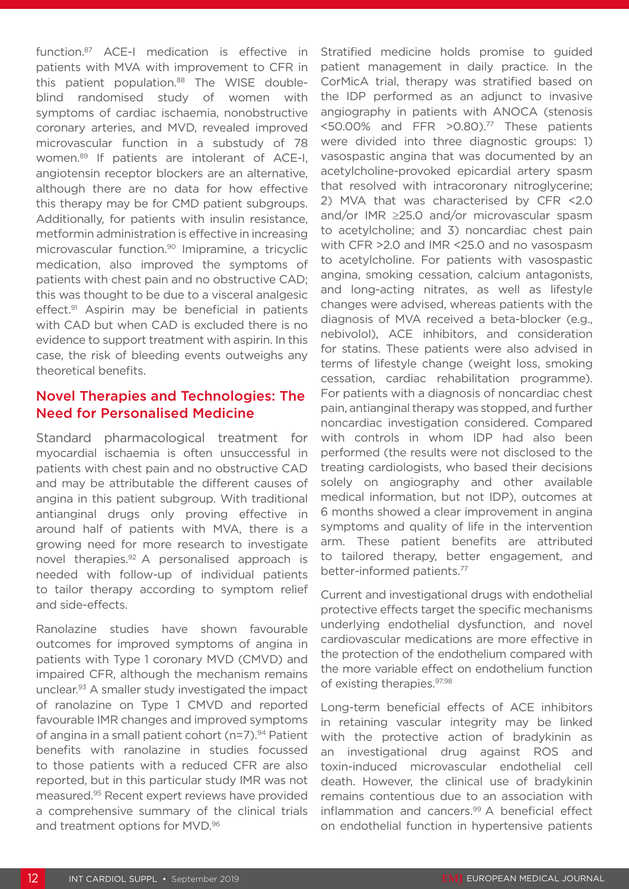function.87 ACE-I medication is effective in patients with MVA with improvement to CFR in this patient population.<sup>88</sup> The WISE doubleblind randomised study of women with symptoms of cardiac ischaemia, nonobstructive coronary arteries, and MVD, revealed improved microvascular function in a substudy of 78 women.89 If patients are intolerant of ACE-I, angiotensin receptor blockers are an alternative, although there are no data for how effective this therapy may be for CMD patient subgroups. Additionally, for patients with insulin resistance, metformin administration is effective in increasing microvascular function.<sup>90</sup> Imipramine, a tricyclic medication, also improved the symptoms of patients with chest pain and no obstructive CAD; this was thought to be due to a visceral analgesic effect.<sup>91</sup> Aspirin may be beneficial in patients with CAD but when CAD is excluded there is no evidence to support treatment with aspirin. In this case, the risk of bleeding events outweighs any theoretical benefits.

#### Novel Therapies and Technologies: The Need for Personalised Medicine

Standard pharmacological treatment for myocardial ischaemia is often unsuccessful in patients with chest pain and no obstructive CAD and may be attributable the different causes of angina in this patient subgroup. With traditional antianginal drugs only proving effective in around half of patients with MVA, there is a growing need for more research to investigate novel therapies.<sup>92</sup> A personalised approach is needed with follow-up of individual patients to tailor therapy according to symptom relief and side-effects.

Ranolazine studies have shown favourable outcomes for improved symptoms of angina in patients with Type 1 coronary MVD (CMVD) and impaired CFR, although the mechanism remains unclear.93 A smaller study investigated the impact of ranolazine on Type 1 CMVD and reported favourable IMR changes and improved symptoms of angina in a small patient cohort (n=7).94 Patient benefits with ranolazine in studies focussed to those patients with a reduced CFR are also reported, but in this particular study IMR was not measured.95 Recent expert reviews have provided a comprehensive summary of the clinical trials and treatment options for MVD.96

Stratified medicine holds promise to guided patient management in daily practice. In the CorMicA trial, therapy was stratified based on the IDP performed as an adjunct to invasive angiography in patients with ANOCA (stenosis <50.00% and FFR >0.80).77 These patients were divided into three diagnostic groups: 1) vasospastic angina that was documented by an acetylcholine-provoked epicardial artery spasm that resolved with intracoronary nitroglycerine; 2) MVA that was characterised by CFR <2.0 and/or IMR ≥25.0 and/or microvascular spasm to acetylcholine; and 3) noncardiac chest pain with CFR >2.0 and IMR <25.0 and no vasospasm to acetylcholine. For patients with vasospastic angina, smoking cessation, calcium antagonists, and long-acting nitrates, as well as lifestyle changes were advised, whereas patients with the diagnosis of MVA received a beta-blocker (e.g., nebivolol), ACE inhibitors, and consideration for statins. These patients were also advised in terms of lifestyle change (weight loss, smoking cessation, cardiac rehabilitation programme). For patients with a diagnosis of noncardiac chest pain, antianginal therapy was stopped, and further noncardiac investigation considered. Compared with controls in whom IDP had also been performed (the results were not disclosed to the treating cardiologists, who based their decisions solely on angiography and other available medical information, but not IDP), outcomes at 6 months showed a clear improvement in angina symptoms and quality of life in the intervention arm. These patient benefits are attributed to tailored therapy, better engagement, and better-informed patients.77

Current and investigational drugs with endothelial protective effects target the specific mechanisms underlying endothelial dysfunction, and novel cardiovascular medications are more effective in the protection of the endothelium compared with the more variable effect on endothelium function of existing therapies.97,98

Long-term beneficial effects of ACE inhibitors in retaining vascular integrity may be linked with the protective action of bradykinin as an investigational drug against ROS and toxin-induced microvascular endothelial cell death. However, the clinical use of bradykinin remains contentious due to an association with inflammation and cancers.<sup>99</sup> A beneficial effect on endothelial function in hypertensive patients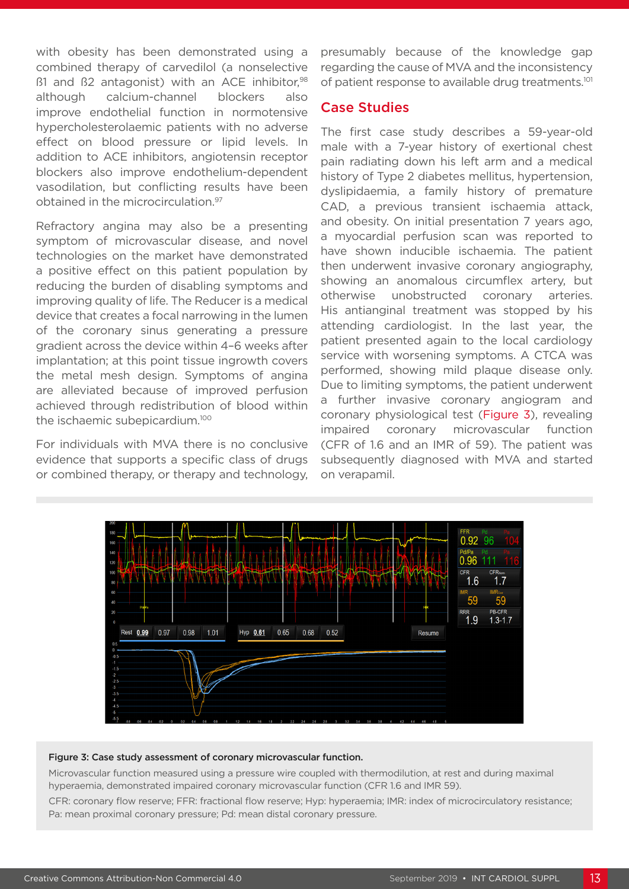with obesity has been demonstrated using a combined therapy of carvedilol (a nonselective  $\beta$ 1 and  $\beta$ 2 antagonist) with an ACE inhibitor,  $98$ although calcium-channel blockers also improve endothelial function in normotensive hypercholesterolaemic patients with no adverse effect on blood pressure or lipid levels. In addition to ACE inhibitors, angiotensin receptor blockers also improve endothelium-dependent vasodilation, but conflicting results have been obtained in the microcirculation.<sup>97</sup>

Refractory angina may also be a presenting symptom of microvascular disease, and novel technologies on the market have demonstrated a positive effect on this patient population by reducing the burden of disabling symptoms and improving quality of life. The Reducer is a medical device that creates a focal narrowing in the lumen of the coronary sinus generating a pressure gradient across the device within 4–6 weeks after implantation; at this point tissue ingrowth covers the metal mesh design. Symptoms of angina are alleviated because of improved perfusion achieved through redistribution of blood within the ischaemic subepicardium.<sup>100</sup>

For individuals with MVA there is no conclusive evidence that supports a specific class of drugs or combined therapy, or therapy and technology, presumably because of the knowledge gap regarding the cause of MVA and the inconsistency of patient response to available drug treatments.101

#### Case Studies

The first case study describes a 59-year-old male with a 7-year history of exertional chest pain radiating down his left arm and a medical history of Type 2 diabetes mellitus, hypertension, dyslipidaemia, a family history of premature CAD, a previous transient ischaemia attack, and obesity. On initial presentation 7 years ago, a myocardial perfusion scan was reported to have shown inducible ischaemia. The patient then underwent invasive coronary angiography, showing an anomalous circumflex artery, but otherwise unobstructed coronary arteries. His antianginal treatment was stopped by his attending cardiologist. In the last year, the patient presented again to the local cardiology service with worsening symptoms. A CTCA was performed, showing mild plaque disease only. Due to limiting symptoms, the patient underwent a further invasive coronary angiogram and coronary physiological test (Figure 3), revealing impaired coronary microvascular function (CFR of 1.6 and an IMR of 59). The patient was subsequently diagnosed with MVA and started on verapamil.



#### Figure 3: Case study assessment of coronary microvascular function.

Microvascular function measured using a pressure wire coupled with thermodilution, at rest and during maximal hyperaemia, demonstrated impaired coronary microvascular function (CFR 1.6 and IMR 59).

CFR: coronary flow reserve; FFR: fractional flow reserve; Hyp: hyperaemia; IMR: index of microcirculatory resistance; Pa: mean proximal coronary pressure; Pd: mean distal coronary pressure.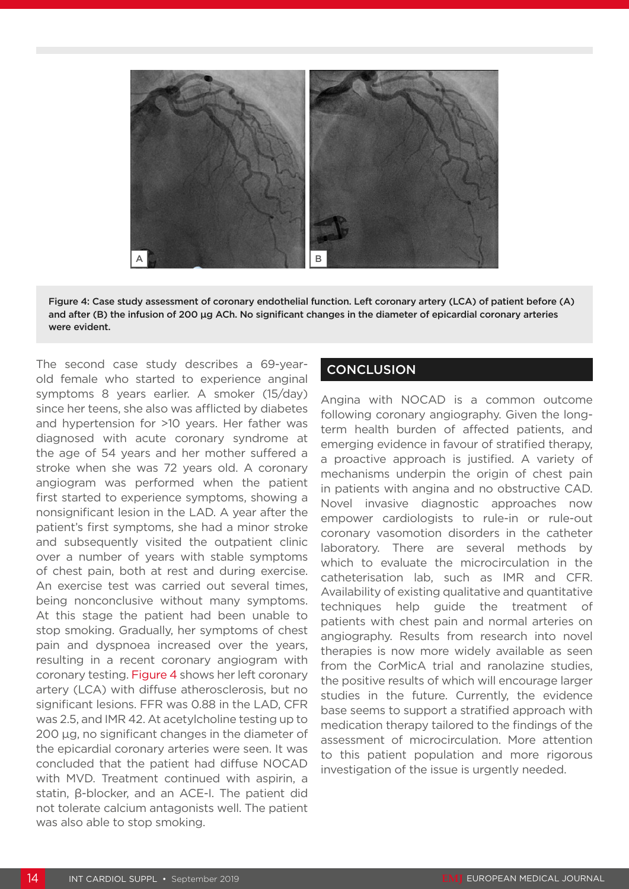

Figure 4: Case study assessment of coronary endothelial function. Left coronary artery (LCA) of patient before (A) and after (B) the infusion of 200 μg ACh. No significant changes in the diameter of epicardial coronary arteries were evident.

The second case study describes a 69-yearold female who started to experience anginal symptoms 8 years earlier. A smoker (15/day) since her teens, she also was afflicted by diabetes and hypertension for >10 years. Her father was diagnosed with acute coronary syndrome at the age of 54 years and her mother suffered a stroke when she was 72 years old. A coronary angiogram was performed when the patient first started to experience symptoms, showing a nonsignificant lesion in the LAD. A year after the patient's first symptoms, she had a minor stroke and subsequently visited the outpatient clinic over a number of years with stable symptoms of chest pain, both at rest and during exercise. An exercise test was carried out several times, being nonconclusive without many symptoms. At this stage the patient had been unable to stop smoking. Gradually, her symptoms of chest pain and dyspnoea increased over the years, resulting in a recent coronary angiogram with coronary testing. Figure 4 shows her left coronary artery (LCA) with diffuse atherosclerosis, but no significant lesions. FFR was 0.88 in the LAD, CFR was 2.5, and IMR 42. At acetylcholine testing up to 200 µg, no significant changes in the diameter of the epicardial coronary arteries were seen. It was concluded that the patient had diffuse NOCAD with MVD. Treatment continued with aspirin, a statin, β-blocker, and an ACE-I. The patient did not tolerate calcium antagonists well. The patient was also able to stop smoking.

## **CONCLUSION**

Angina with NOCAD is a common outcome following coronary angiography. Given the longterm health burden of affected patients, and emerging evidence in favour of stratified therapy, a proactive approach is justified. A variety of mechanisms underpin the origin of chest pain in patients with angina and no obstructive CAD. Novel invasive diagnostic approaches now empower cardiologists to rule-in or rule-out coronary vasomotion disorders in the catheter laboratory. There are several methods by which to evaluate the microcirculation in the catheterisation lab, such as IMR and CFR. Availability of existing qualitative and quantitative techniques help guide the treatment of patients with chest pain and normal arteries on angiography. Results from research into novel therapies is now more widely available as seen from the CorMicA trial and ranolazine studies, the positive results of which will encourage larger studies in the future. Currently, the evidence base seems to support a stratified approach with medication therapy tailored to the findings of the assessment of microcirculation. More attention to this patient population and more rigorous investigation of the issue is urgently needed.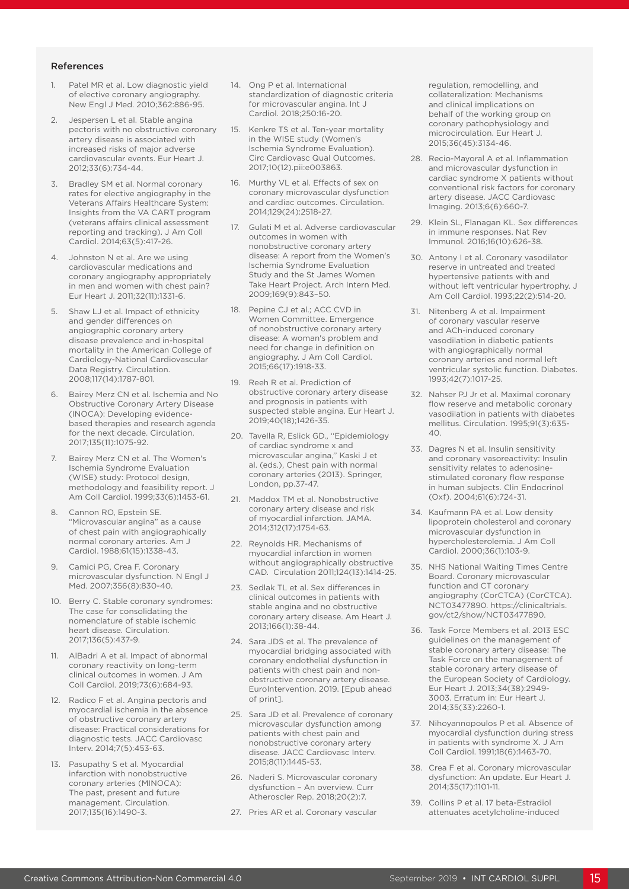#### References

- 1. Patel MR et al. Low diagnostic yield of elective coronary angiography. New Engl J Med. 2010;362:886-95.
- 2. Jespersen L et al. Stable angina pectoris with no obstructive coronary artery disease is associated with increased risks of major adverse cardiovascular events. Eur Heart J. 2012;33(6):734-44.
- 3. Bradley SM et al. Normal coronary rates for elective angiography in the Veterans Affairs Healthcare System: Insights from the VA CART program (veterans affairs clinical assessment reporting and tracking). J Am Coll Cardiol. 2014;63(5):417-26.
- Johnston N et al. Are we using cardiovascular medications and coronary angiography appropriately in men and women with chest pain? Eur Heart J. 2011;32(11):1331-6.
- 5. Shaw LJ et al. Impact of ethnicity and gender differences on angiographic coronary artery disease prevalence and in-hospital mortality in the American College of Cardiology-National Cardiovascular Data Registry. Circulation. 2008;117(14):1787-801.
- 6. Bairey Merz CN et al. Ischemia and No Obstructive Coronary Artery Disease (INOCA): Developing evidencebased therapies and research agenda for the next decade. Circulation. 2017;135(11):1075-92.
- Bairey Merz CN et al. The Women's Ischemia Syndrome Evaluation (WISE) study: Protocol design, methodology and feasibility report. J Am Coll Cardiol. 1999;33(6):1453-61.
- 8. Cannon RO, Epstein SE. "Microvascular angina" as a cause of chest pain with angiographically normal coronary arteries. Am J Cardiol. 1988;61(15):1338-43.
- Camici PG, Crea F. Coronary microvascular dysfunction. N Engl J Med. 2007;356(8):830-40.
- 10. Berry C. Stable coronary syndromes: The case for consolidating the nomenclature of stable ischemic heart disease. Circulation. 2017;136(5):437-9.
- 11. AlBadri A et al. Impact of abnormal coronary reactivity on long-term clinical outcomes in women. J Am Coll Cardiol. 2019;73(6):684-93.
- 12. Radico F et al. Angina pectoris and myocardial ischemia in the absence of obstructive coronary artery disease: Practical considerations for diagnostic tests. JACC Cardiovasc Interv. 2014;7(5):453-63.
- 13. Pasupathy S et al. Myocardial infarction with nonobstructive coronary arteries (MINOCA): The past, present and future management. Circulation. 2017;135(16):1490-3.
- 14. Ong P et al. International standardization of diagnostic criteria for microvascular angina. Int J Cardiol. 2018;250:16-20.
- 15. Kenkre TS et al. Ten-year mortality in the WISE study (Women's Ischemia Syndrome Evaluation). Circ Cardiovasc Qual Outcomes. 2017;10(12).pii:e003863.
- 16. Murthy VL et al. Effects of sex on coronary microvascular dysfunction and cardiac outcomes. Circulation. 2014;129(24):2518-27.
- 17. Gulati M et al. Adverse cardiovascular outcomes in women with nonobstructive coronary artery disease: A report from the Women's Ischemia Syndrome Evaluation Study and the St James Women Take Heart Project. Arch Intern Med. 2009;169(9):843–50.
- 18. Pepine CJ et al.; ACC CVD in Women Committee. Emergence of nonobstructive coronary artery disease: A woman's problem and need for change in definition on angiography. J Am Coll Cardiol. 2015;66(17):1918-33.
- 19. Reeh R et al. Prediction of obstructive coronary artery disease and prognosis in patients with suspected stable angina. Eur Heart J. 2019;40(18);1426-35.
- 20. Tavella R, Eslick GD., ''Epidemiology of cardiac syndrome x and microvascular angina,'' Kaski J et al. (eds.), Chest pain with normal coronary arteries (2013). Springer, London, pp.37-47.
- 21. Maddox TM et al. Nonobstructive coronary artery disease and risk of myocardial infarction. JAMA. 2014;312(17):1754-63.
- 22. Reynolds HR. Mechanisms of myocardial infarction in women without angiographically obstructive CAD. Circulation 2011;124(13):1414-25.
- 23. Sedlak TL et al. Sex differences in clinical outcomes in patients with stable angina and no obstructive coronary artery disease. Am Heart J. 2013;166(1):38-44.
- 24. Sara JDS et al. The prevalence of myocardial bridging associated with coronary endothelial dysfunction in patients with chest pain and nonobstructive coronary artery disease. EuroIntervention. 2019. [Epub ahead of print].
- 25. Sara JD et al. Prevalence of coronary microvascular dysfunction among patients with chest pain and nonobstructive coronary artery disease. JACC Cardiovasc Interv. 2015;8(11):1445-53.
- 26. Naderi S. Microvascular coronary dysfunction – An overview. Curr Atheroscler Rep. 2018;20(2):7.
- 27. Pries AR et al. Coronary vascular

regulation, remodelling, and collateralization: Mechanisms and clinical implications on behalf of the working group on coronary pathophysiology and microcirculation. Eur Heart J. 2015;36(45):3134-46.

- 28. Recio-Mayoral A et al. Inflammation and microvascular dysfunction in cardiac syndrome X patients without conventional risk factors for coronary artery disease. JACC Cardiovasc Imaging. 2013;6(6):660-7.
- 29. Klein SL, Flanagan KL. Sex differences in immune responses. Nat Rev Immunol. 2016;16(10):626-38.
- 30. Antony I et al. Coronary vasodilator reserve in untreated and treated hypertensive patients with and without left ventricular hypertrophy. J Am Coll Cardiol. 1993;22(2):514-20.
- 31. Nitenberg A et al. Impairment of coronary vascular reserve and ACh-induced coronary vasodilation in diabetic patients with angiographically normal coronary arteries and normal left ventricular systolic function. Diabetes. 1993;42(7):1017-25.
- 32. Nahser PJ Jr et al. Maximal coronary flow reserve and metabolic coronary vasodilation in patients with diabetes mellitus. Circulation. 1995;91(3):635- 40.
- 33. Dagres N et al. Insulin sensitivity and coronary vasoreactivity: Insulin sensitivity relates to adenosinestimulated coronary flow response in human subjects. Clin Endocrinol (Oxf). 2004;61(6):724-31.
- 34. Kaufmann PA et al. Low density lipoprotein cholesterol and coronary microvascular dysfunction in hypercholesterolemia. J Am Coll Cardiol. 2000;36(1):103-9.
- 35. NHS National Waiting Times Centre Board. Coronary microvascular function and CT coronary angiography (CorCTCA) (CorCTCA). NCT03477890. https://clinicaltrials. gov/ct2/show/NCT03477890.
- 36. Task Force Members et al. 2013 ESC guidelines on the management of stable coronary artery disease: The Task Force on the management of stable coronary artery disease of the European Society of Cardiology. Eur Heart J. 2013;34(38):2949- 3003. Erratum in: Eur Heart J. 2014;35(33):2260-1.
- 37. Nihoyannopoulos P et al. Absence of myocardial dysfunction during stress in patients with syndrome X. J Am Coll Cardiol. 1991;18(6):1463-70.
- 38. Crea F et al. Coronary microvascular dysfunction: An update. Eur Heart J. 2014;35(17):1101-11.
- 39. Collins P et al. 17 beta-Estradiol attenuates acetylcholine-induced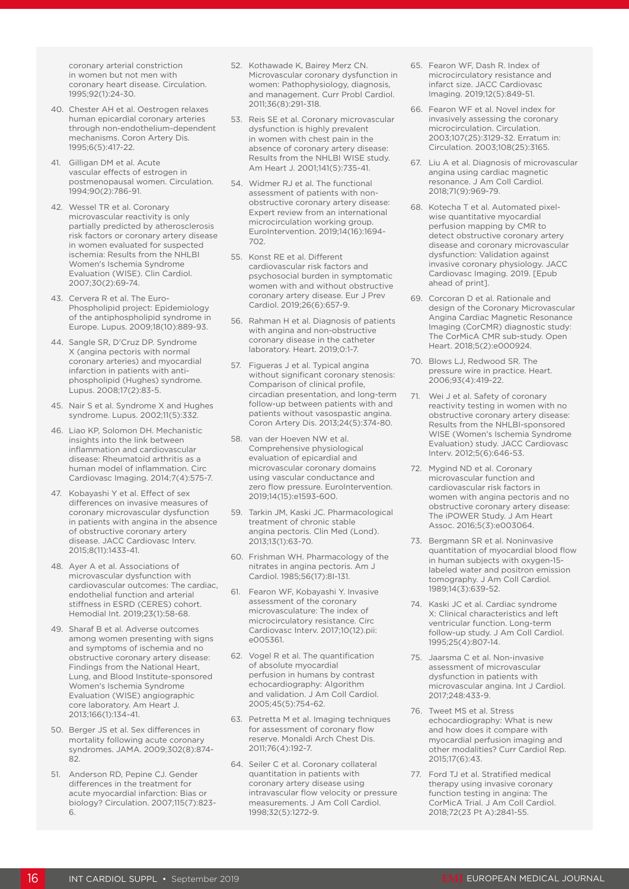coronary arterial constriction in women but not men with coronary heart disease. Circulation. 1995;92(1):24-30.

- 40. Chester AH et al. Oestrogen relaxes human epicardial coronary arteries through non-endothelium-dependent mechanisms. Coron Artery Dis. 1995;6(5):417-22.
- 41. Gilligan DM et al. Acute vascular effects of estrogen in postmenopausal women. Circulation. 1994;90(2):786-91.
- 42. Wessel TR et al. Coronary microvascular reactivity is only partially predicted by atherosclerosis risk factors or coronary artery disease in women evaluated for suspected ischemia: Results from the NHLBI Women's Ischemia Syndrome Evaluation (WISE). Clin Cardiol. 2007;30(2):69-74.
- 43. Cervera R et al. The Euro-Phospholipid project: Epidemiology of the antiphospholipid syndrome in Europe. Lupus. 2009;18(10):889-93.
- 44. Sangle SR, D'Cruz DP. Syndrome X (angina pectoris with normal coronary arteries) and myocardial infarction in patients with antiphospholipid (Hughes) syndrome. Lupus. 2008;17(2):83-5.
- 45. Nair S et al. Syndrome X and Hughes syndrome. Lupus. 2002;11(5):332.
- 46. Liao KP, Solomon DH. Mechanistic insights into the link between inflammation and cardiovascular disease: Rheumatoid arthritis as a human model of inflammation. Circ Cardiovasc Imaging. 2014;7(4):575-7.
- 47. Kobayashi Y et al. Effect of sex differences on invasive measures of coronary microvascular dysfunction in patients with angina in the absence of obstructive coronary artery disease. JACC Cardiovasc Interv. 2015;8(11):1433-41.
- 48. Ayer A et al. Associations of microvascular dysfunction with cardiovascular outcomes: The cardiac, endothelial function and arterial stiffness in ESRD (CERES) cohort. Hemodial Int. 2019;23(1):58-68.
- 49. Sharaf B et al. Adverse outcomes among women presenting with signs and symptoms of ischemia and no obstructive coronary artery disease: Findings from the National Heart, Lung, and Blood Institute-sponsored Women's Ischemia Syndrome Evaluation (WISE) angiographic core laboratory. Am Heart J. 2013;166(1):134-41.
- 50. Berger JS et al. Sex differences in mortality following acute coronary syndromes. JAMA. 2009;302(8):874- 82.
- 51. Anderson RD, Pepine CJ. Gender differences in the treatment for acute myocardial infarction: Bias or biology? Circulation. 2007;115(7):823- 6.
- 52. Kothawade K, Bairey Merz CN. Microvascular coronary dysfunction in women: Pathophysiology, diagnosis, and management. Curr Probl Cardiol. 2011;36(8):291-318.
- 53. Reis SE et al. Coronary microvascular dysfunction is highly prevalent in women with chest pain in the absence of coronary artery disease: Results from the NHLBI WISE study. Am Heart J. 2001;141(5):735-41.
- 54. Widmer RJ et al. The functional assessment of patients with nonobstructive coronary artery disease: Expert review from an international microcirculation working group. EuroIntervention. 2019;14(16):1694- 702.
- 55. Konst RE et al. Different cardiovascular risk factors and psychosocial burden in symptomatic women with and without obstructive coronary artery disease. Eur J Prev Cardiol. 2019;26(6):657-9.
- 56. Rahman H et al. Diagnosis of patients with angina and non-obstructive coronary disease in the catheter laboratory. Heart. 2019;0:1-7.
- 57. Figueras J et al. Typical angina without significant coronary stenosis: Comparison of clinical profile, circadian presentation, and long-term follow-up between patients with and patients without vasospastic angina. Coron Artery Dis. 2013;24(5):374-80.
- 58. van der Hoeven NW et al. Comprehensive physiological evaluation of epicardial and microvascular coronary domains using vascular conductance and zero flow pressure. EuroIntervention. 2019;14(15):e1593-600.
- 59. Tarkin JM, Kaski JC. Pharmacological treatment of chronic stable angina pectoris. Clin Med (Lond). 2013;13(1):63-70.
- 60. Frishman WH. Pharmacology of the nitrates in angina pectoris. Am J Cardiol. 1985;56(17):8I-131.
- 61. Fearon WF, Kobayashi Y. Invasive assessment of the coronary microvasculature: The index of microcirculatory resistance. Circ Cardiovasc Interv. 2017;10(12).pii: e005361.
- 62. Vogel R et al. The quantification of absolute myocardial perfusion in humans by contrast echocardiography: Algorithm and validation. J Am Coll Cardiol. 2005;45(5):754-62.
- 63. Petretta M et al. Imaging techniques for assessment of coronary flow reserve. Monaldi Arch Chest Dis. 2011;76(4):192-7.
- 64. Seiler C et al. Coronary collateral quantitation in patients with coronary artery disease using intravascular flow velocity or pressure measurements. J Am Coll Cardiol. 1998;32(5):1272-9.
- 65. Fearon WF, Dash R. Index of microcirculatory resistance and infarct size. JACC Cardiovasc Imaging. 2019;12(5):849-51.
- 66. Fearon WF et al. Novel index for invasively assessing the coronary microcirculation. Circulation. 2003;107(25):3129-32. Erratum in: Circulation. 2003;108(25):3165.
- 67. Liu A et al. Diagnosis of microvascular angina using cardiac magnetic resonance. J Am Coll Cardiol. 2018;71(9):969-79.
- 68. Kotecha T et al. Automated pixelwise quantitative myocardial perfusion mapping by CMR to detect obstructive coronary artery disease and coronary microvascular dysfunction: Validation against invasive coronary physiology. JACC Cardiovasc Imaging. 2019. [Epub ahead of print].
- 69. Corcoran D et al. Rationale and design of the Coronary Microvascular Angina Cardiac Magnetic Resonance Imaging (CorCMR) diagnostic study: The CorMicA CMR sub-study. Open Heart. 2018;5(2):e000924.
- 70. Blows LJ, Redwood SR. The pressure wire in practice. Heart. 2006;93(4):419-22.
- 71. Wei J et al. Safety of coronary reactivity testing in women with no obstructive coronary artery disease: Results from the NHLBI-sponsored WISE (Women's Ischemia Syndrome Evaluation) study. JACC Cardiovasc Interv. 2012;5(6):646-53.
- 72. Mygind ND et al. Coronary microvascular function and cardiovascular risk factors in women with angina pectoris and no obstructive coronary artery disease: The iPOWER Study. J Am Heart Assoc. 2016;5(3):e003064.
- 73. Bergmann SR et al. Noninvasive quantitation of myocardial blood flow in human subjects with oxygen-15 labeled water and positron emission tomography. J Am Coll Cardiol. 1989;14(3):639-52.
- 74. Kaski JC et al. Cardiac syndrome X: Clinical characteristics and left ventricular function. Long-term follow-up study. J Am Coll Cardiol. 1995;25(4):807-14.
- 75. Jaarsma C et al. Non-invasive assessment of microvascular dysfunction in patients with microvascular angina. Int J Cardiol. 2017;248:433-9.
- 76. Tweet MS et al. Stress echocardiography: What is new and how does it compare with myocardial perfusion imaging and other modalities? Curr Cardiol Rep. 2015;17(6):43.
- 77. Ford TJ et al. Stratified medical therapy using invasive coronary function testing in angina: The CorMicA Trial. J Am Coll Cardiol. 2018;72(23 Pt A):2841-55.